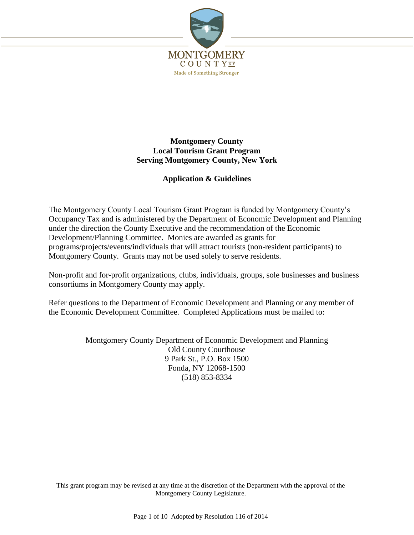

## **Montgomery County Local Tourism Grant Program Serving Montgomery County, New York**

## **Application & Guidelines**

The Montgomery County Local Tourism Grant Program is funded by Montgomery County's Occupancy Tax and is administered by the Department of Economic Development and Planning under the direction the County Executive and the recommendation of the Economic Development/Planning Committee. Monies are awarded as grants for programs/projects/events/individuals that will attract tourists (non-resident participants) to Montgomery County. Grants may not be used solely to serve residents.

Non-profit and for-profit organizations, clubs, individuals, groups, sole businesses and business consortiums in Montgomery County may apply.

Refer questions to the Department of Economic Development and Planning or any member of the Economic Development Committee. Completed Applications must be mailed to:

> Montgomery County Department of Economic Development and Planning Old County Courthouse 9 Park St., P.O. Box 1500 Fonda, NY 12068-1500 (518) 853-8334

This grant program may be revised at any time at the discretion of the Department with the approval of the Montgomery County Legislature.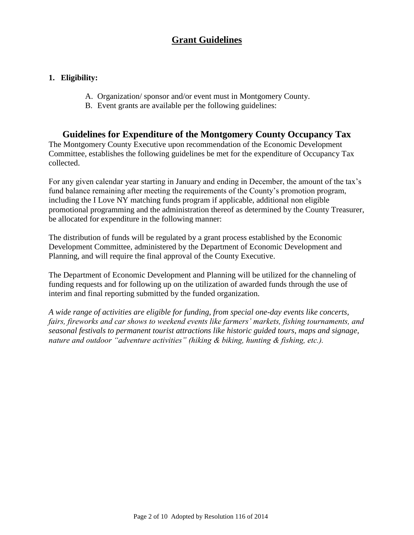## **Grant Guidelines**

## **1. Eligibility:**

- A. Organization/ sponsor and/or event must in Montgomery County.
- B. Event grants are available per the following guidelines:

## **Guidelines for Expenditure of the Montgomery County Occupancy Tax**

The Montgomery County Executive upon recommendation of the Economic Development Committee, establishes the following guidelines be met for the expenditure of Occupancy Tax collected.

For any given calendar year starting in January and ending in December, the amount of the tax's fund balance remaining after meeting the requirements of the County's promotion program, including the I Love NY matching funds program if applicable, additional non eligible promotional programming and the administration thereof as determined by the County Treasurer, be allocated for expenditure in the following manner:

The distribution of funds will be regulated by a grant process established by the Economic Development Committee, administered by the Department of Economic Development and Planning, and will require the final approval of the County Executive.

The Department of Economic Development and Planning will be utilized for the channeling of funding requests and for following up on the utilization of awarded funds through the use of interim and final reporting submitted by the funded organization.

*A wide range of activities are eligible for funding, from special one-day events like concerts, fairs, fireworks and car shows to weekend events like farmers' markets, fishing tournaments, and seasonal festivals to permanent tourist attractions like historic guided tours, maps and signage, nature and outdoor "adventure activities" (hiking & biking, hunting & fishing, etc.).*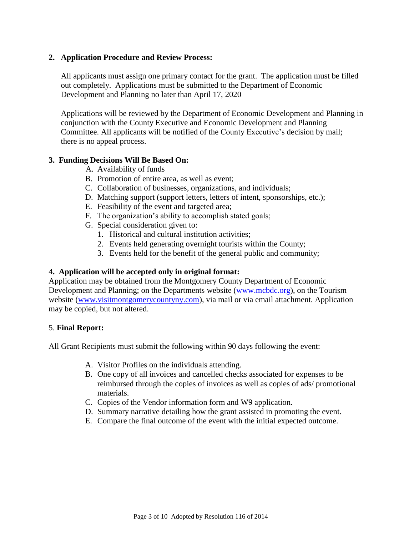## **2. Application Procedure and Review Process:**

All applicants must assign one primary contact for the grant. The application must be filled out completely. Applications must be submitted to the Department of Economic Development and Planning no later than April 17, 2020

Applications will be reviewed by the Department of Economic Development and Planning in conjunction with the County Executive and Economic Development and Planning Committee. All applicants will be notified of the County Executive's decision by mail; there is no appeal process.

## **3. Funding Decisions Will Be Based On:**

- A. Availability of funds
- B. Promotion of entire area, as well as event;
- C. Collaboration of businesses, organizations, and individuals;
- D. Matching support (support letters, letters of intent, sponsorships, etc.);
- E. Feasibility of the event and targeted area;
- F. The organization's ability to accomplish stated goals;
- G. Special consideration given to:
	- 1. Historical and cultural institution activities;
	- 2. Events held generating overnight tourists within the County;
	- 3. Events held for the benefit of the general public and community;

## 4**. Application will be accepted only in original format:**

Application may be obtained from the Montgomery County Department of Economic Development and Planning; on the Departments website [\(www.mcbdc.org\)](http://www.mcbdc.org/), on the Tourism website [\(www.visitmontgomerycountyny.com\)](http://www.visitmontgomerycountyny.com/), via mail or via email attachment. Application may be copied, but not altered.

## 5. **Final Report:**

All Grant Recipients must submit the following within 90 days following the event:

- A. Visitor Profiles on the individuals attending.
- B. One copy of all invoices and cancelled checks associated for expenses to be reimbursed through the copies of invoices as well as copies of ads/ promotional materials.
- C. Copies of the Vendor information form and W9 application.
- D. Summary narrative detailing how the grant assisted in promoting the event.
- E. Compare the final outcome of the event with the initial expected outcome.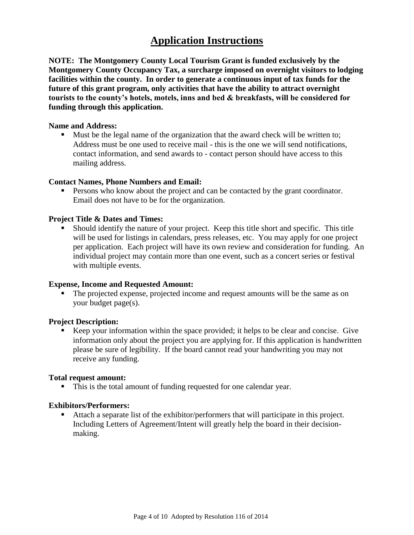# **Application Instructions**

**NOTE: The Montgomery County Local Tourism Grant is funded exclusively by the Montgomery County Occupancy Tax, a surcharge imposed on overnight visitors to lodging facilities within the county. In order to generate a continuous input of tax funds for the future of this grant program, only activities that have the ability to attract overnight tourists to the county's hotels, motels, inns and bed & breakfasts, will be considered for funding through this application.**

#### **Name and Address:**

Must be the legal name of the organization that the award check will be written to; Address must be one used to receive mail - this is the one we will send notifications, contact information, and send awards to - contact person should have access to this mailing address.

#### **Contact Names, Phone Numbers and Email:**

 Persons who know about the project and can be contacted by the grant coordinator. Email does not have to be for the organization.

#### **Project Title & Dates and Times:**

 Should identify the nature of your project. Keep this title short and specific. This title will be used for listings in calendars, press releases, etc. You may apply for one project per application. Each project will have its own review and consideration for funding. An individual project may contain more than one event, such as a concert series or festival with multiple events.

#### **Expense, Income and Requested Amount:**

 The projected expense, projected income and request amounts will be the same as on your budget page(s).

#### **Project Description:**

Keep your information within the space provided; it helps to be clear and concise. Give information only about the project you are applying for. If this application is handwritten please be sure of legibility. If the board cannot read your handwriting you may not receive any funding.

#### **Total request amount:**

This is the total amount of funding requested for one calendar year.

#### **Exhibitors/Performers:**

 Attach a separate list of the exhibitor/performers that will participate in this project. Including Letters of Agreement/Intent will greatly help the board in their decisionmaking.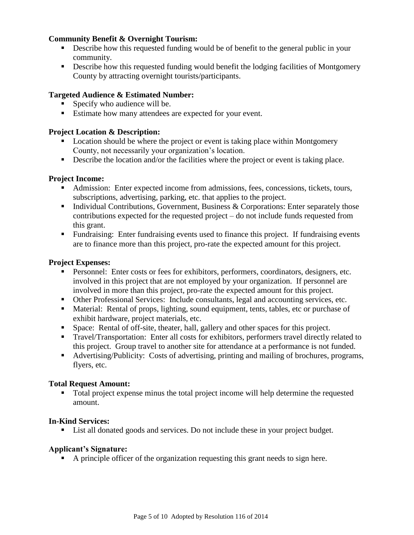## **Community Benefit & Overnight Tourism:**

- Describe how this requested funding would be of benefit to the general public in your community.
- Describe how this requested funding would benefit the lodging facilities of Montgomery County by attracting overnight tourists/participants.

## **Targeted Audience & Estimated Number:**

- **Specify who audience will be.**
- Estimate how many attendees are expected for your event.

## **Project Location & Description:**

- Location should be where the project or event is taking place within Montgomery County, not necessarily your organization's location.
- Describe the location and/or the facilities where the project or event is taking place.

## **Project Income:**

- Admission: Enter expected income from admissions, fees, concessions, tickets, tours, subscriptions, advertising, parking, etc. that applies to the project.
- Individual Contributions, Government, Business  $\&$  Corporations: Enter separately those contributions expected for the requested project – do not include funds requested from this grant.
- Fundraising: Enter fundraising events used to finance this project. If fundraising events are to finance more than this project, pro-rate the expected amount for this project.

## **Project Expenses:**

- Personnel: Enter costs or fees for exhibitors, performers, coordinators, designers, etc. involved in this project that are not employed by your organization. If personnel are involved in more than this project, pro-rate the expected amount for this project.
- Other Professional Services: Include consultants, legal and accounting services, etc.
- Material: Rental of props, lighting, sound equipment, tents, tables, etc or purchase of exhibit hardware, project materials, etc.
- Space: Rental of off-site, theater, hall, gallery and other spaces for this project.
- **Travel/Transportation:** Enter all costs for exhibitors, performers travel directly related to this project. Group travel to another site for attendance at a performance is not funded.
- Advertising/Publicity: Costs of advertising, printing and mailing of brochures, programs, flyers, etc.

## **Total Request Amount:**

Total project expense minus the total project income will help determine the requested amount.

## **In-Kind Services:**

■ List all donated goods and services. Do not include these in your project budget.

## **Applicant's Signature:**

A principle officer of the organization requesting this grant needs to sign here.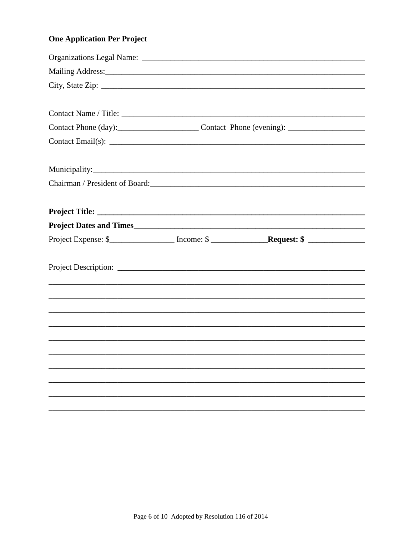## **One Application Per Project**

| Contact Phone (day): Contact Phone (evening): ___________________________________   |  |
|-------------------------------------------------------------------------------------|--|
|                                                                                     |  |
|                                                                                     |  |
| Chairman / President of Board:                                                      |  |
|                                                                                     |  |
|                                                                                     |  |
| Project Expense: \$__________________ Income: \$ __________________________________ |  |
|                                                                                     |  |
|                                                                                     |  |
|                                                                                     |  |
|                                                                                     |  |
| <u>,这就是这个人的人,我们就是这个人的人,我们就是这个人的人,我们就是这个人的人,我们就是这个人的人,我们就是这个人的人,我们就是</u>             |  |
|                                                                                     |  |
|                                                                                     |  |
|                                                                                     |  |
|                                                                                     |  |
|                                                                                     |  |
|                                                                                     |  |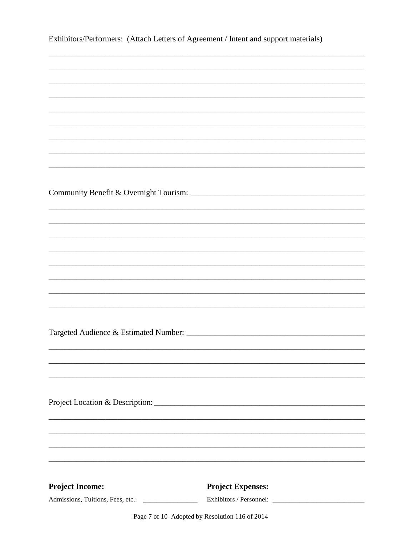| Exhibitors/Performers: (Attach Letters of Agreement / Intent and support materials) |                                                                                   |  |  |
|-------------------------------------------------------------------------------------|-----------------------------------------------------------------------------------|--|--|
|                                                                                     |                                                                                   |  |  |
|                                                                                     |                                                                                   |  |  |
|                                                                                     |                                                                                   |  |  |
|                                                                                     |                                                                                   |  |  |
|                                                                                     |                                                                                   |  |  |
|                                                                                     |                                                                                   |  |  |
|                                                                                     |                                                                                   |  |  |
|                                                                                     |                                                                                   |  |  |
|                                                                                     |                                                                                   |  |  |
|                                                                                     |                                                                                   |  |  |
|                                                                                     |                                                                                   |  |  |
|                                                                                     |                                                                                   |  |  |
|                                                                                     |                                                                                   |  |  |
|                                                                                     |                                                                                   |  |  |
|                                                                                     |                                                                                   |  |  |
|                                                                                     |                                                                                   |  |  |
|                                                                                     |                                                                                   |  |  |
|                                                                                     |                                                                                   |  |  |
|                                                                                     |                                                                                   |  |  |
|                                                                                     |                                                                                   |  |  |
|                                                                                     |                                                                                   |  |  |
|                                                                                     |                                                                                   |  |  |
|                                                                                     | ,我们也不能在这里的时候,我们也不能在这里的时候,我们也不能会在这里的时候,我们也不能会在这里的时候,我们也不能会在这里的时候,我们也不能会在这里的时候,我们也不 |  |  |
|                                                                                     |                                                                                   |  |  |
|                                                                                     |                                                                                   |  |  |
|                                                                                     | ,我们也不能在这里的时候,我们也不能在这里的时候,我们也不能会在这里的时候,我们也不能会在这里的时候,我们也不能会在这里的时候,我们也不能会在这里的时候,我们也不 |  |  |
|                                                                                     |                                                                                   |  |  |
|                                                                                     |                                                                                   |  |  |
|                                                                                     |                                                                                   |  |  |
| <b>Project Income:</b>                                                              | <b>Project Expenses:</b>                                                          |  |  |
|                                                                                     |                                                                                   |  |  |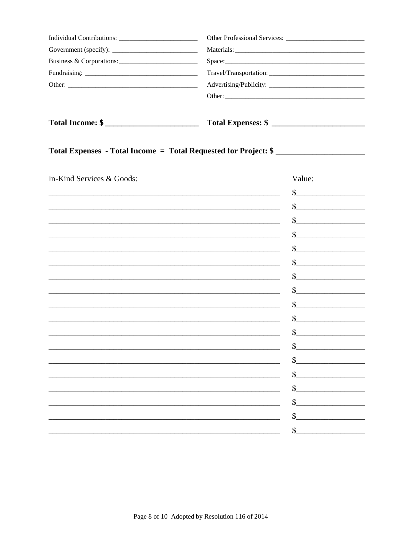| Total Income: \$ |  |  |  |
|------------------|--|--|--|
|                  |  |  |  |
|                  |  |  |  |
|                  |  |  |  |
|                  |  |  |  |
|                  |  |  |  |
|                  |  |  |  |

# Total Expenses - Total Income = Total Requested for Project: \$

| In-Kind Services & Goods: | Value:                    |
|---------------------------|---------------------------|
|                           | \$                        |
|                           | $\boldsymbol{\mathsf{S}}$ |
|                           | \$                        |
|                           | \$                        |
|                           | \$                        |
|                           | \$                        |
|                           | \$                        |
|                           | \$                        |
|                           |                           |
|                           | \$                        |
|                           | \$                        |
|                           | \$                        |
|                           | $\mathsf{\$}$             |
|                           | \$                        |
|                           | \$                        |
|                           | $\mathcal{S}$             |
|                           | $\mathcal{S}$             |
|                           | \$                        |
|                           | \$                        |
|                           |                           |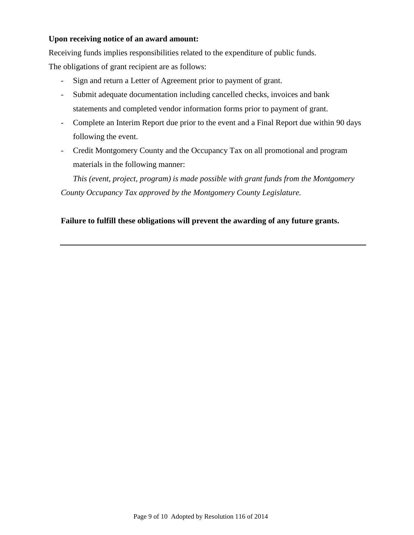## **Upon receiving notice of an award amount:**

Receiving funds implies responsibilities related to the expenditure of public funds. The obligations of grant recipient are as follows:

- Sign and return a Letter of Agreement prior to payment of grant.
- Submit adequate documentation including cancelled checks, invoices and bank statements and completed vendor information forms prior to payment of grant.
- Complete an Interim Report due prior to the event and a Final Report due within 90 days following the event.
- Credit Montgomery County and the Occupancy Tax on all promotional and program materials in the following manner:

 *This (event, project, program) is made possible with grant funds from the Montgomery County Occupancy Tax approved by the Montgomery County Legislature.*

## **Failure to fulfill these obligations will prevent the awarding of any future grants.**